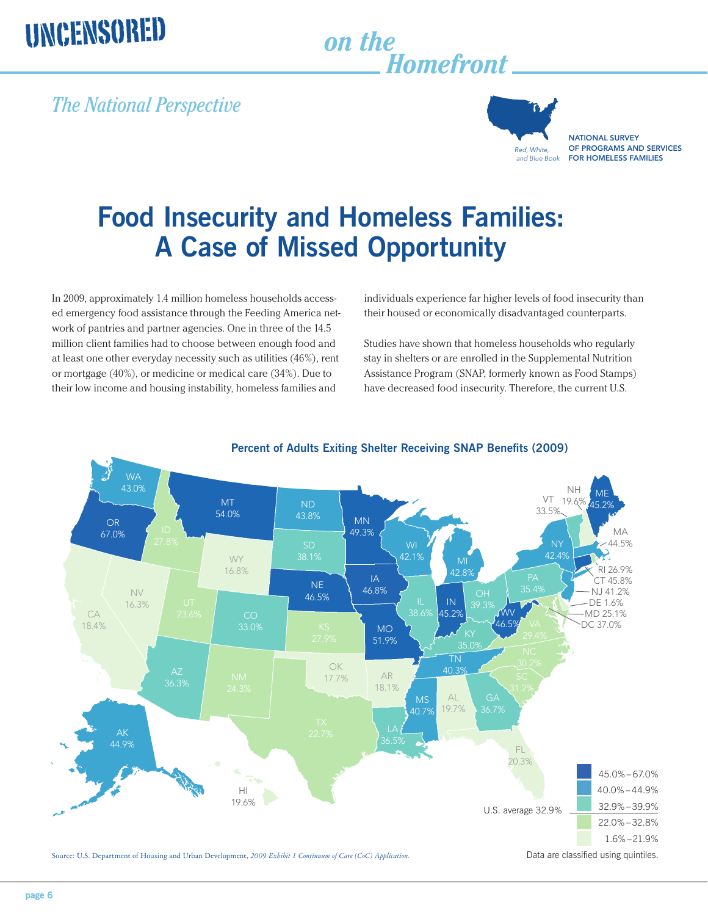# UNCENSORED

## *on the Homefront*

### *The National Perspective*



NATIONAL SURVEY OF PROGRAMS AND SERVICES FOR HOMELESS FAMILIES

## **Food Insecurity and Homeless Families: A Case of Missed Opportunity**

ed emergency food assistance through the Feeding America network of pantries and partner agencies. One in three of the 14.5 million client families had to choose between enough food and at least one other everyday necessity such as utilities (46%), rent or mortgage (40%), or medicine or medical care (34%). Due to their low income and housing instability, homeless families and

individuals experience far higher levels of food insecurity than their housed or economically disadvantaged counterparts.

Studies have shown that homeless households who regularly stay in shelters or are enrolled in the Supplemental Nutrition Assistance Program (SNAP, formerly known as Food Stamps) have decreased food insecurity. Therefore, the current U.S.



### **Percent of Adults Exiting Shelter Receiving SNAP Benefits (2009)**